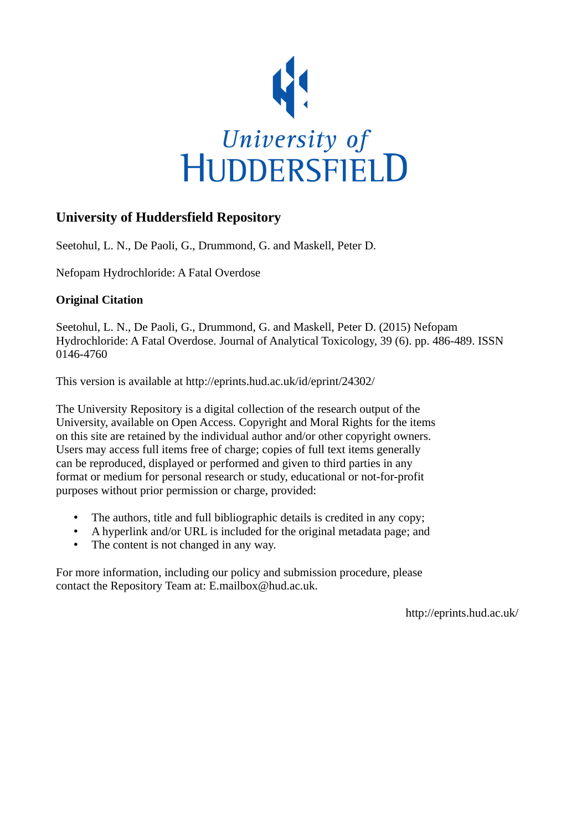

# **University of Huddersfield Repository**

Seetohul, L. N., De Paoli, G., Drummond, G. and Maskell, Peter D.

Nefopam Hydrochloride: A Fatal Overdose

# **Original Citation**

Seetohul, L. N., De Paoli, G., Drummond, G. and Maskell, Peter D. (2015) Nefopam Hydrochloride: A Fatal Overdose. Journal of Analytical Toxicology, 39 (6). pp. 486-489. ISSN 0146-4760

This version is available at http://eprints.hud.ac.uk/id/eprint/24302/

The University Repository is a digital collection of the research output of the University, available on Open Access. Copyright and Moral Rights for the items on this site are retained by the individual author and/or other copyright owners. Users may access full items free of charge; copies of full text items generally can be reproduced, displayed or performed and given to third parties in any format or medium for personal research or study, educational or not-for-profit purposes without prior permission or charge, provided:

- The authors, title and full bibliographic details is credited in any copy;
- A hyperlink and/or URL is included for the original metadata page; and
- The content is not changed in any way.

For more information, including our policy and submission procedure, please contact the Repository Team at: E.mailbox@hud.ac.uk.

http://eprints.hud.ac.uk/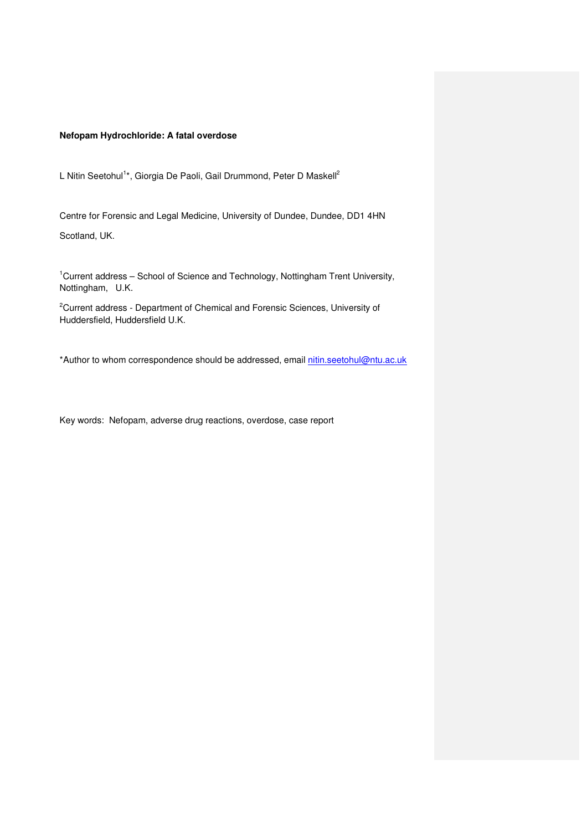## **Nefopam Hydrochloride: A fatal overdose**

L Nitin Seetohul<sup>1\*</sup>, Giorgia De Paoli, Gail Drummond, Peter D Maskell<sup>2</sup>

Centre for Forensic and Legal Medicine, University of Dundee, Dundee, DD1 4HN Scotland, UK.

<sup>1</sup>Current address – School of Science and Technology, Nottingham Trent University, Nottingham, U.K.

<sup>2</sup>Current address - Department of Chemical and Forensic Sciences, University of Huddersfield, Huddersfield U.K.

\*Author to whom correspondence should be addressed, email nitin.seetohul@ntu.ac.uk

Key words: Nefopam, adverse drug reactions, overdose, case report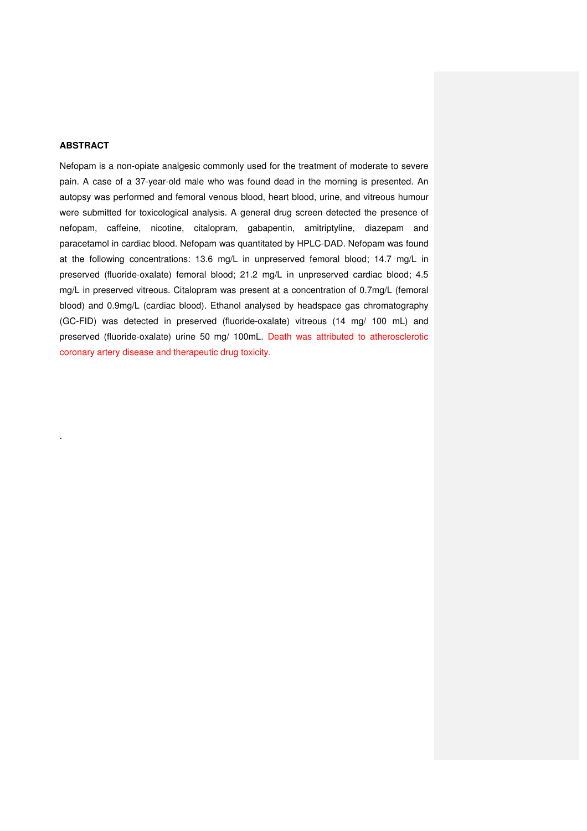## **ABSTRACT**

.

Nefopam is a non-opiate analgesic commonly used for the treatment of moderate to severe pain. A case of a 37-year-old male who was found dead in the morning is presented. An autopsy was performed and femoral venous blood, heart blood, urine, and vitreous humour were submitted for toxicological analysis. A general drug screen detected the presence of nefopam, caffeine, nicotine, citalopram, gabapentin, amitriptyline, diazepam and paracetamol in cardiac blood. Nefopam was quantitated by HPLC-DAD. Nefopam was found at the following concentrations: 13.6 mg/L in unpreserved femoral blood; 14.7 mg/L in preserved (fluoride-oxalate) femoral blood; 21.2 mg/L in unpreserved cardiac blood; 4.5 mg/L in preserved vitreous. Citalopram was present at a concentration of 0.7mg/L (femoral blood) and 0.9mg/L (cardiac blood). Ethanol analysed by headspace gas chromatography (GC-FID) was detected in preserved (fluoride-oxalate) vitreous (14 mg/ 100 mL) and preserved (fluoride-oxalate) urine 50 mg/ 100mL. Death was attributed to atherosclerotic coronary artery disease and therapeutic drug toxicity.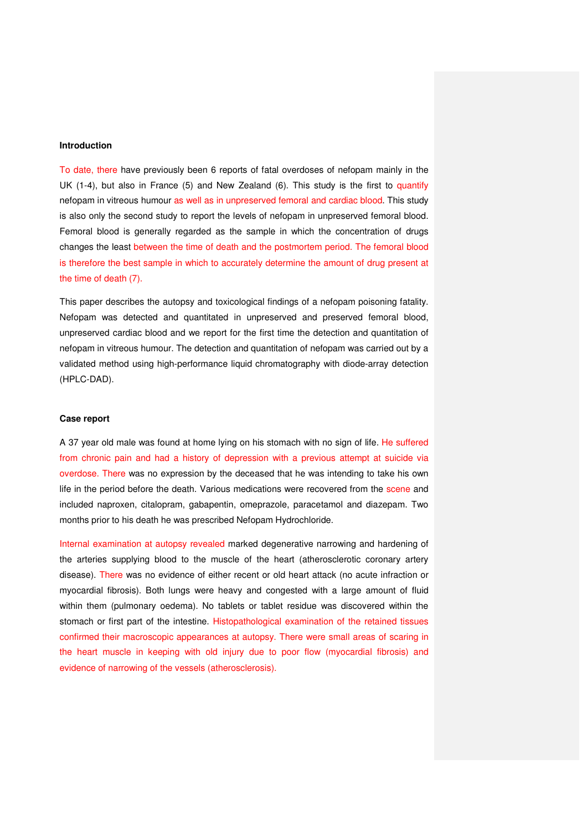#### **Introduction**

To date, there have previously been 6 reports of fatal overdoses of nefopam mainly in the UK (1-4), but also in France (5) and New Zealand (6). This study is the first to quantify nefopam in vitreous humour as well as in unpreserved femoral and cardiac blood. This study is also only the second study to report the levels of nefopam in unpreserved femoral blood. Femoral blood is generally regarded as the sample in which the concentration of drugs changes the least between the time of death and the postmortem period. The femoral blood is therefore the best sample in which to accurately determine the amount of drug present at the time of death (7).

This paper describes the autopsy and toxicological findings of a nefopam poisoning fatality. Nefopam was detected and quantitated in unpreserved and preserved femoral blood, unpreserved cardiac blood and we report for the first time the detection and quantitation of nefopam in vitreous humour. The detection and quantitation of nefopam was carried out by a validated method using high-performance liquid chromatography with diode-array detection (HPLC-DAD).

#### **Case report**

A 37 year old male was found at home lying on his stomach with no sign of life. He suffered from chronic pain and had a history of depression with a previous attempt at suicide via overdose. There was no expression by the deceased that he was intending to take his own life in the period before the death. Various medications were recovered from the scene and included naproxen, citalopram, gabapentin, omeprazole, paracetamol and diazepam. Two months prior to his death he was prescribed Nefopam Hydrochloride.

Internal examination at autopsy revealed marked degenerative narrowing and hardening of the arteries supplying blood to the muscle of the heart (atherosclerotic coronary artery disease). There was no evidence of either recent or old heart attack (no acute infraction or myocardial fibrosis). Both lungs were heavy and congested with a large amount of fluid within them (pulmonary oedema). No tablets or tablet residue was discovered within the stomach or first part of the intestine. Histopathological examination of the retained tissues confirmed their macroscopic appearances at autopsy. There were small areas of scaring in the heart muscle in keeping with old injury due to poor flow (myocardial fibrosis) and evidence of narrowing of the vessels (atherosclerosis).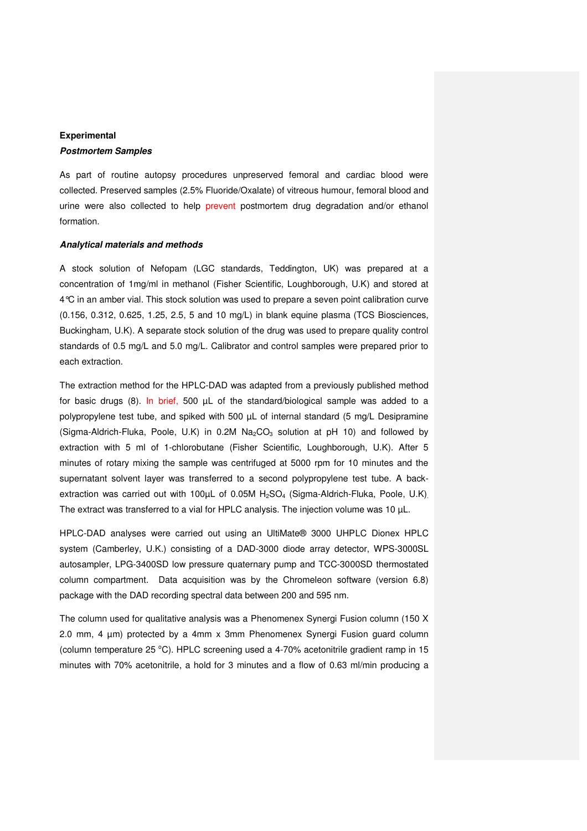# **Experimental**

## **Postmortem Samples**

As part of routine autopsy procedures unpreserved femoral and cardiac blood were collected. Preserved samples (2.5% Fluoride/Oxalate) of vitreous humour, femoral blood and urine were also collected to help prevent postmortem drug degradation and/or ethanol formation.

### **Analytical materials and methods**

A stock solution of Nefopam (LGC standards, Teddington, UK) was prepared at a concentration of 1mg/ml in methanol (Fisher Scientific, Loughborough, U.K) and stored at 4°C in an amber vial. This stock solution was used to prepare a seven point calibration curve (0.156, 0.312, 0.625, 1.25, 2.5, 5 and 10 mg/L) in blank equine plasma (TCS Biosciences, Buckingham, U.K). A separate stock solution of the drug was used to prepare quality control standards of 0.5 mg/L and 5.0 mg/L. Calibrator and control samples were prepared prior to each extraction.

The extraction method for the HPLC-DAD was adapted from a previously published method for basic drugs (8). In brief, 500  $\mu$ L of the standard/biological sample was added to a polypropylene test tube, and spiked with 500 µL of internal standard (5 mg/L Desipramine (Sigma-Aldrich-Fluka, Poole, U.K) in 0.2M  $Na<sub>2</sub>CO<sub>3</sub>$  solution at pH 10) and followed by extraction with 5 ml of 1-chlorobutane (Fisher Scientific, Loughborough, U.K). After 5 minutes of rotary mixing the sample was centrifuged at 5000 rpm for 10 minutes and the supernatant solvent layer was transferred to a second polypropylene test tube. A backextraction was carried out with 100 $\mu$ L of 0.05M H<sub>2</sub>SO<sub>4</sub> (Sigma-Aldrich-Fluka, Poole, U.K) The extract was transferred to a vial for HPLC analysis. The injection volume was 10 µL.

HPLC-DAD analyses were carried out using an UltiMate® 3000 UHPLC Dionex HPLC system (Camberley, U.K.) consisting of a DAD-3000 diode array detector, WPS-3000SL autosampler, LPG-3400SD low pressure quaternary pump and TCC-3000SD thermostated column compartment. Data acquisition was by the Chromeleon software (version 6.8) package with the DAD recording spectral data between 200 and 595 nm.

The column used for qualitative analysis was a Phenomenex Synergi Fusion column (150 X 2.0 mm, 4 µm) protected by a 4mm x 3mm Phenomenex Synergi Fusion guard column (column temperature 25  $^{\circ}$ C). HPLC screening used a 4-70% acetonitrile gradient ramp in 15 minutes with 70% acetonitrile, a hold for 3 minutes and a flow of 0.63 ml/min producing a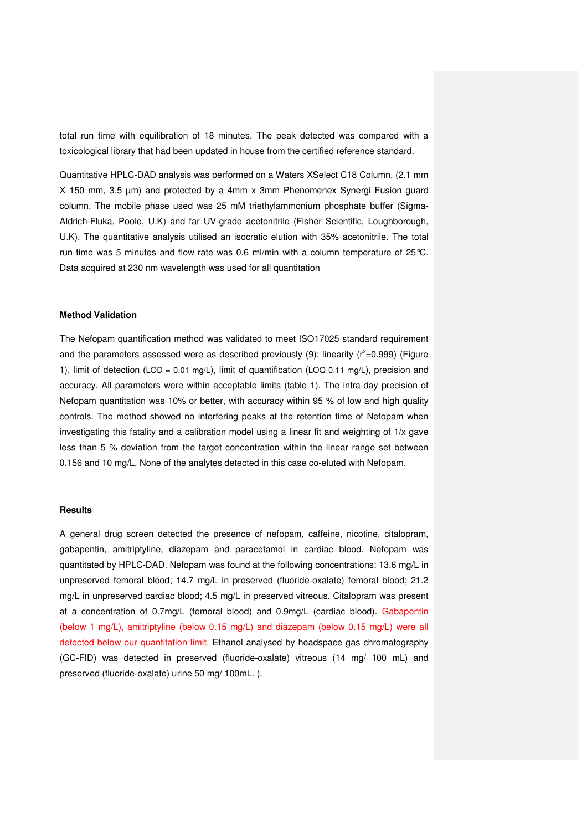total run time with equilibration of 18 minutes. The peak detected was compared with a toxicological library that had been updated in house from the certified reference standard.

Quantitative HPLC-DAD analysis was performed on a Waters XSelect C18 Column, (2.1 mm X 150 mm, 3.5 µm) and protected by a 4mm x 3mm Phenomenex Synergi Fusion guard column. The mobile phase used was 25 mM triethylammonium phosphate buffer (Sigma-Aldrich-Fluka, Poole, U.K) and far UV-grade acetonitrile (Fisher Scientific, Loughborough, U.K). The quantitative analysis utilised an isocratic elution with 35% acetonitrile. The total run time was 5 minutes and flow rate was 0.6 ml/min with a column temperature of 25°C. Data acquired at 230 nm wavelength was used for all quantitation

#### **Method Validation**

The Nefopam quantification method was validated to meet ISO17025 standard requirement and the parameters assessed were as described previously (9): linearity ( $r^2$ =0.999) (Figure 1), limit of detection (LOD = 0.01 mg/L), limit of quantification (LOQ 0.11 mg/L), precision and accuracy. All parameters were within acceptable limits (table 1). The intra-day precision of Nefopam quantitation was 10% or better, with accuracy within 95 % of low and high quality controls. The method showed no interfering peaks at the retention time of Nefopam when investigating this fatality and a calibration model using a linear fit and weighting of 1/x gave less than 5 % deviation from the target concentration within the linear range set between 0.156 and 10 mg/L. None of the analytes detected in this case co-eluted with Nefopam.

#### **Results**

A general drug screen detected the presence of nefopam, caffeine, nicotine, citalopram, gabapentin, amitriptyline, diazepam and paracetamol in cardiac blood. Nefopam was quantitated by HPLC-DAD. Nefopam was found at the following concentrations: 13.6 mg/L in unpreserved femoral blood; 14.7 mg/L in preserved (fluoride-oxalate) femoral blood; 21.2 mg/L in unpreserved cardiac blood; 4.5 mg/L in preserved vitreous. Citalopram was present at a concentration of 0.7mg/L (femoral blood) and 0.9mg/L (cardiac blood). Gabapentin (below 1 mg/L), amitriptyline (below 0.15 mg/L) and diazepam (below 0.15 mg/L) were all detected below our quantitation limit. Ethanol analysed by headspace gas chromatography (GC-FID) was detected in preserved (fluoride-oxalate) vitreous (14 mg/ 100 mL) and preserved (fluoride-oxalate) urine 50 mg/ 100mL. ).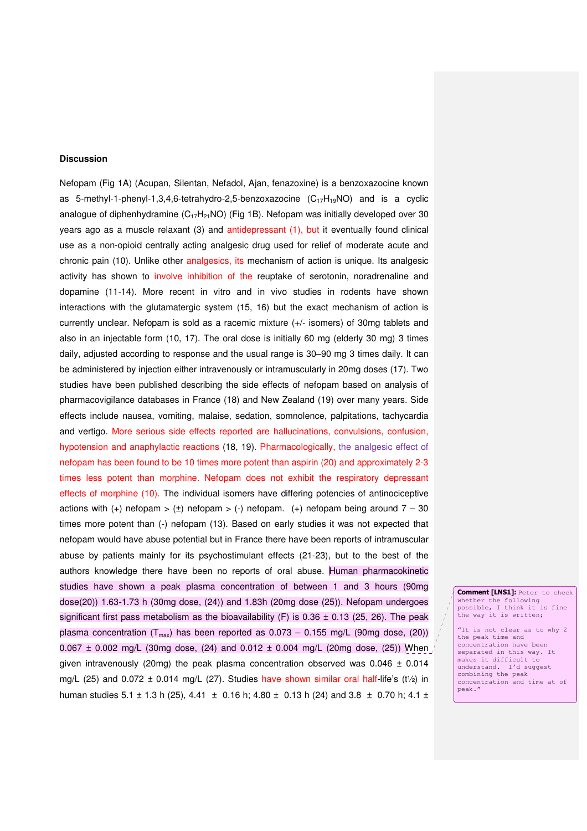## **Discussion**

Nefopam (Fig 1A) (Acupan, Silentan, Nefadol, Ajan, fenazoxine) is a benzoxazocine known as 5-methyl-1-phenyl-1,3,4,6-tetrahydro-2,5-benzoxazocine  $(C_{17}H_{19}NO)$  and is a cyclic analogue of diphenhydramine ( $C_{17}H_{21}NO$ ) (Fig 1B). Nefopam was initially developed over 30 years ago as a muscle relaxant (3) and antidepressant (1), but it eventually found clinical use as a non-opioid centrally acting analgesic drug used for relief of moderate acute and chronic pain (10). Unlike other analgesics, its mechanism of action is unique. Its analgesic activity has shown to involve inhibition of the reuptake of serotonin, noradrenaline and dopamine (11-14). More recent in vitro and in vivo studies in rodents have shown interactions with the glutamatergic system (15, 16) but the exact mechanism of action is currently unclear. Nefopam is sold as a racemic mixture (+/- isomers) of 30mg tablets and also in an injectable form (10, 17). The oral dose is initially 60 mg (elderly 30 mg) 3 times daily, adjusted according to response and the usual range is 30–90 mg 3 times daily. It can be administered by injection either intravenously or intramuscularly in 20mg doses (17). Two studies have been published describing the side effects of nefopam based on analysis of pharmacovigilance databases in France (18) and New Zealand (19) over many years. Side effects include nausea, vomiting, malaise, sedation, somnolence, palpitations, tachycardia and vertigo. More serious side effects reported are hallucinations, convulsions, confusion, hypotension and anaphylactic reactions (18, 19). Pharmacologically, the analgesic effect of nefopam has been found to be 10 times more potent than aspirin (20) and approximately 2-3 times less potent than morphine. Nefopam does not exhibit the respiratory depressant effects of morphine (10). The individual isomers have differing potencies of antinociceptive actions with  $(+)$  nefopam >  $(±)$  nefopam >  $(·)$  nefopam.  $(+)$  nefopam being around  $7 - 30$ times more potent than (-) nefopam (13). Based on early studies it was not expected that nefopam would have abuse potential but in France there have been reports of intramuscular abuse by patients mainly for its psychostimulant effects (21-23), but to the best of the authors knowledge there have been no reports of oral abuse. Human pharmacokinetic studies have shown a peak plasma concentration of between 1 and 3 hours (90mg dose(20)) 1.63-1.73 h (30mg dose, (24)) and 1.83h (20mg dose (25)). Nefopam undergoes significant first pass metabolism as the bioavailability (F) is  $0.36 \pm 0.13$  (25, 26). The peak plasma concentration ( $T_{max}$ ) has been reported as 0.073 – 0.155 mg/L (90mg dose, (20))  $0.067 \pm 0.002$  mg/L (30mg dose, (24) and  $0.012 \pm 0.004$  mg/L (20mg dose, (25)) When given intravenously (20mg) the peak plasma concentration observed was  $0.046 \pm 0.014$ mg/L (25) and  $0.072 \pm 0.014$  mg/L (27). Studies have shown similar oral half-life's (t<sup>1/2</sup>) in human studies 5.1  $\pm$  1.3 h (25), 4.41  $\pm$  0.16 h; 4.80  $\pm$  0.13 h (24) and 3.8  $\pm$  0.70 h; 4.1  $\pm$ 

Comment [LNS1]: Peter to check whether the following possible, I think it is fine the way it is written;

 "It is not clear as to why 2 the peak time and concentration have been separated in this way. It makes it difficult to understand. I'd suggest combining the peak concentration and time at of peak."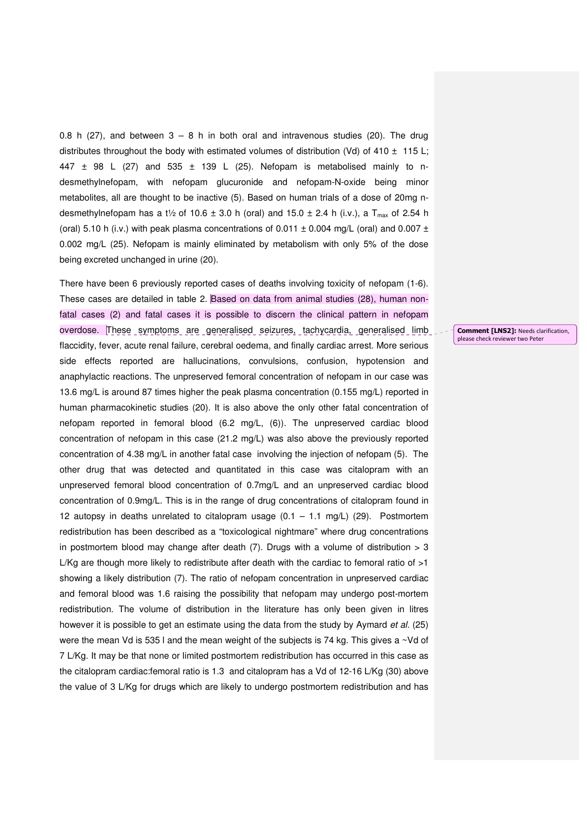0.8 h (27), and between  $3 - 8$  h in both oral and intravenous studies (20). The drug distributes throughout the body with estimated volumes of distribution (Vd) of 410  $\pm$  115 L; 447  $\pm$  98 L (27) and 535  $\pm$  139 L (25). Nefopam is metabolised mainly to ndesmethylnefopam, with nefopam glucuronide and nefopam-N-oxide being minor metabolites, all are thought to be inactive (5). Based on human trials of a dose of 20mg ndesmethylnefopam has a t<sup>1</sup>/<sub>2</sub> of 10.6  $\pm$  3.0 h (oral) and 15.0  $\pm$  2.4 h (i.v.), a T<sub>max</sub> of 2.54 h (oral) 5.10 h (i.v.) with peak plasma concentrations of 0.011  $\pm$  0.004 mg/L (oral) and 0.007  $\pm$ 0.002 mg/L (25). Nefopam is mainly eliminated by metabolism with only 5% of the dose being excreted unchanged in urine (20).

There have been 6 previously reported cases of deaths involving toxicity of nefopam (1-6). These cases are detailed in table 2. Based on data from animal studies (28), human nonfatal cases (2) and fatal cases it is possible to discern the clinical pattern in nefopam overdose. These symptoms are generalised seizures, tachycardia, generalised limb flaccidity, fever, acute renal failure, cerebral oedema, and finally cardiac arrest. More serious side effects reported are hallucinations, convulsions, confusion, hypotension and anaphylactic reactions. The unpreserved femoral concentration of nefopam in our case was 13.6 mg/L is around 87 times higher the peak plasma concentration (0.155 mg/L) reported in human pharmacokinetic studies (20). It is also above the only other fatal concentration of nefopam reported in femoral blood (6.2 mg/L, (6)). The unpreserved cardiac blood concentration of nefopam in this case (21.2 mg/L) was also above the previously reported concentration of 4.38 mg/L in another fatal case involving the injection of nefopam (5). The other drug that was detected and quantitated in this case was citalopram with an unpreserved femoral blood concentration of 0.7mg/L and an unpreserved cardiac blood concentration of 0.9mg/L. This is in the range of drug concentrations of citalopram found in 12 autopsy in deaths unrelated to citalopram usage  $(0.1 - 1.1 \text{ mg/L})$  (29). Postmortem redistribution has been described as a "toxicological nightmare" where drug concentrations in postmortem blood may change after death  $(7)$ . Drugs with a volume of distribution  $> 3$ L/Kg are though more likely to redistribute after death with the cardiac to femoral ratio of  $>1$ showing a likely distribution (7). The ratio of nefopam concentration in unpreserved cardiac and femoral blood was 1.6 raising the possibility that nefopam may undergo post-mortem redistribution. The volume of distribution in the literature has only been given in litres however it is possible to get an estimate using the data from the study by Aymard et al. (25) were the mean Vd is 535 l and the mean weight of the subjects is 74 kg. This gives a  $\sim$ Vd of 7 L/Kg. It may be that none or limited postmortem redistribution has occurred in this case as the citalopram cardiac:femoral ratio is 1.3 and citalopram has a Vd of 12-16 L/Kg (30) above the value of 3 L/Kg for drugs which are likely to undergo postmortem redistribution and has

Comment [LNS2]: Needs clarification, please check reviewer two Peter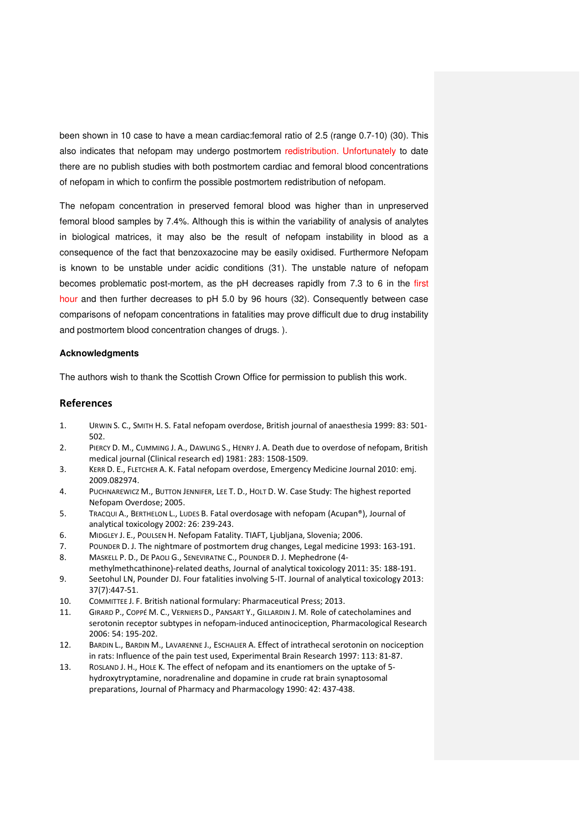been shown in 10 case to have a mean cardiac:femoral ratio of 2.5 (range 0.7-10) (30). This also indicates that nefopam may undergo postmortem redistribution. Unfortunately to date there are no publish studies with both postmortem cardiac and femoral blood concentrations of nefopam in which to confirm the possible postmortem redistribution of nefopam.

The nefopam concentration in preserved femoral blood was higher than in unpreserved femoral blood samples by 7.4%. Although this is within the variability of analysis of analytes in biological matrices, it may also be the result of nefopam instability in blood as a consequence of the fact that benzoxazocine may be easily oxidised. Furthermore Nefopam is known to be unstable under acidic conditions (31). The unstable nature of nefopam becomes problematic post-mortem, as the pH decreases rapidly from 7.3 to 6 in the first hour and then further decreases to pH 5.0 by 96 hours (32). Consequently between case comparisons of nefopam concentrations in fatalities may prove difficult due to drug instability and postmortem blood concentration changes of drugs. ).

#### **Acknowledgments**

The authors wish to thank the Scottish Crown Office for permission to publish this work.

### References

- 1. URWIN S. C., SMITH H. S. Fatal nefopam overdose, British journal of anaesthesia 1999: 83: 501- 502.
- 2. PIERCY D. M., CUMMING J. A., DAWLING S., HENRY J. A. Death due to overdose of nefopam, British medical journal (Clinical research ed) 1981: 283: 1508-1509.
- 3. KERR D. E., FLETCHER A. K. Fatal nefopam overdose, Emergency Medicine Journal 2010: emj. 2009.082974.
- 4. PUCHNAREWICZ M., BUTTON JENNIFER, LEE T. D., HOLT D. W. Case Study: The highest reported Nefopam Overdose; 2005.
- 5. TRACQUI A., BERTHELON L., LUDES B. Fatal overdosage with nefopam (Acupan®), Journal of analytical toxicology 2002: 26: 239-243.
- 6. MIDGLEY J. E., POULSEN H. Nefopam Fatality. TIAFT, Ljubljana, Slovenia; 2006.
- 7. POUNDER D. J. The nightmare of postmortem drug changes, Legal medicine 1993: 163-191.
- 8. MASKELL P. D., DE PAOLI G., SENEVIRATNE C., POUNDER D. J. Mephedrone (4methylmethcathinone)-related deaths, Journal of analytical toxicology 2011: 35: 188-191.
- 9. Seetohul LN, Pounder DJ. Four fatalities involving 5-IT. Journal of analytical toxicology 2013: 37(7):447-51.
- 10. COMMITTEE J. F. British national formulary: Pharmaceutical Press; 2013.
- 11. GIRARD P., COPPÉ M. C., VERNIERS D., PANSART Y., GILLARDIN J. M. Role of catecholamines and serotonin receptor subtypes in nefopam-induced antinociception, Pharmacological Research 2006: 54: 195-202.
- 12. BARDIN L., BARDIN M., LAVARENNE J., ESCHALIER A. Effect of intrathecal serotonin on nociception in rats: Influence of the pain test used, Experimental Brain Research 1997: 113: 81-87.
- 13. ROSLAND J. H., HOLE K. The effect of nefopam and its enantiomers on the uptake of 5 hydroxytryptamine, noradrenaline and dopamine in crude rat brain synaptosomal preparations, Journal of Pharmacy and Pharmacology 1990: 42: 437-438.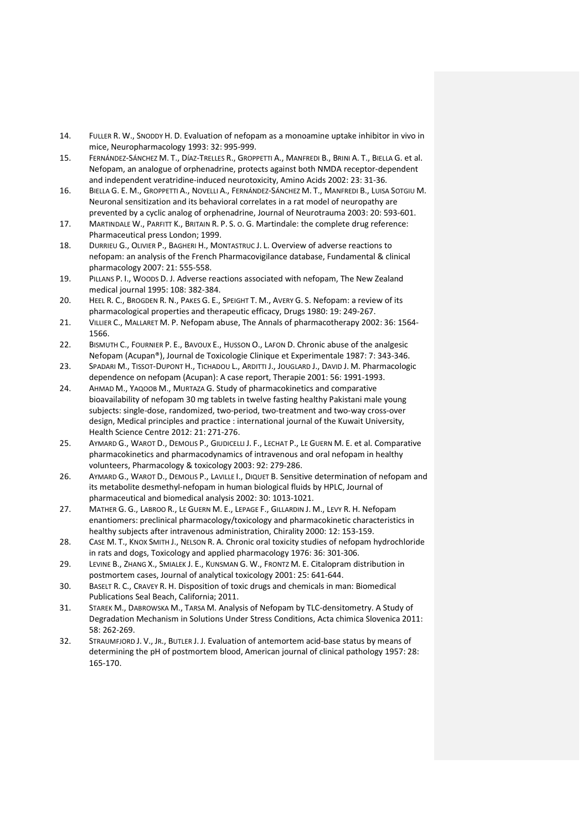- 14. FULLER R. W., SNODDY H. D. Evaluation of nefopam as a monoamine uptake inhibitor in vivo in mice, Neuropharmacology 1993: 32: 995-999.
- 15. FERNÁNDEZ-SÁNCHEZ M. T., DÍAZ-TRELLES R., GROPPETTI A., MANFREDI B., BRINI A. T., BIELLA G. et al. Nefopam, an analogue of orphenadrine, protects against both NMDA receptor-dependent and independent veratridine-induced neurotoxicity, Amino Acids 2002: 23: 31-36.
- 16. BIELLA G. E. M., GROPPETTI A., NOVELLI A., FERNÁNDEZ-SÁNCHEZ M. T., MANFREDI B., LUISA SOTGIU M. Neuronal sensitization and its behavioral correlates in a rat model of neuropathy are prevented by a cyclic analog of orphenadrine, Journal of Neurotrauma 2003: 20: 593-601.
- 17. MARTINDALE W., PARFITT K., BRITAIN R. P. S. O. G. Martindale: the complete drug reference: Pharmaceutical press London; 1999.
- 18. DURRIEU G., OLIVIER P., BAGHERI H., MONTASTRUC J. L. Overview of adverse reactions to nefopam: an analysis of the French Pharmacovigilance database, Fundamental & clinical pharmacology 2007: 21: 555-558.
- 19. PILLANS P. I., WOODS D. J. Adverse reactions associated with nefopam, The New Zealand medical journal 1995: 108: 382-384.
- 20. HEEL R. C., BROGDEN R. N., PAKES G. E., SPEIGHT T. M., AVERY G. S. Nefopam: a review of its pharmacological properties and therapeutic efficacy, Drugs 1980: 19: 249-267.
- 21. VILLIER C., MALLARET M. P. Nefopam abuse, The Annals of pharmacotherapy 2002: 36: 1564- 1566.
- 22. BISMUTH C., FOURNIER P. E., BAVOUX E., HUSSON O., LAFON D. Chronic abuse of the analgesic Nefopam (Acupan®), Journal de Toxicologie Clinique et Experimentale 1987: 7: 343-346.
- 23. SPADARI M., TISSOT-DUPONT H., TICHADOU L., ARDITTI J., JOUGLARD J., DAVID J. M. Pharmacologic dependence on nefopam (Acupan): A case report, Therapie 2001: 56: 1991-1993.
- 24. AHMAD M., YAQOOB M., MURTAZA G. Study of pharmacokinetics and comparative bioavailability of nefopam 30 mg tablets in twelve fasting healthy Pakistani male young subjects: single-dose, randomized, two-period, two-treatment and two-way cross-over design, Medical principles and practice : international journal of the Kuwait University, Health Science Centre 2012: 21: 271-276.
- 25. AYMARD G., WAROT D., DEMOLIS P., GIUDICELLI J. F., LECHAT P., LE GUERN M. E. et al. Comparative pharmacokinetics and pharmacodynamics of intravenous and oral nefopam in healthy volunteers, Pharmacology & toxicology 2003: 92: 279-286.
- 26. AYMARD G., WAROT D., DEMOLIS P., LAVILLE I., DIQUET B. Sensitive determination of nefopam and its metabolite desmethyl-nefopam in human biological fluids by HPLC, Journal of pharmaceutical and biomedical analysis 2002: 30: 1013-1021.
- 27. MATHER G. G., LABROO R., LE GUERN M. E., LEPAGE F., GILLARDIN J. M., LEVY R. H. Nefopam enantiomers: preclinical pharmacology/toxicology and pharmacokinetic characteristics in healthy subjects after intravenous administration, Chirality 2000: 12: 153-159.
- 28. CASE M. T., KNOX SMITH J., NELSON R. A. Chronic oral toxicity studies of nefopam hydrochloride in rats and dogs, Toxicology and applied pharmacology 1976: 36: 301-306.
- 29. LEVINE B., ZHANG X., SMIALEK J. E., KUNSMAN G. W., FRONTZ M. E. Citalopram distribution in postmortem cases, Journal of analytical toxicology 2001: 25: 641-644.
- 30. BASELT R. C., CRAVEY R. H. Disposition of toxic drugs and chemicals in man: Biomedical Publications Seal Beach, California; 2011.
- 31. STAREK M., DABROWSKA M., TARSA M. Analysis of Nefopam by TLC-densitometry. A Study of Degradation Mechanism in Solutions Under Stress Conditions, Acta chimica Slovenica 2011: 58: 262-269.
- 32. STRAUMFJORD J. V., JR., BUTLER J. J. Evaluation of antemortem acid-base status by means of determining the pH of postmortem blood, American journal of clinical pathology 1957: 28: 165-170.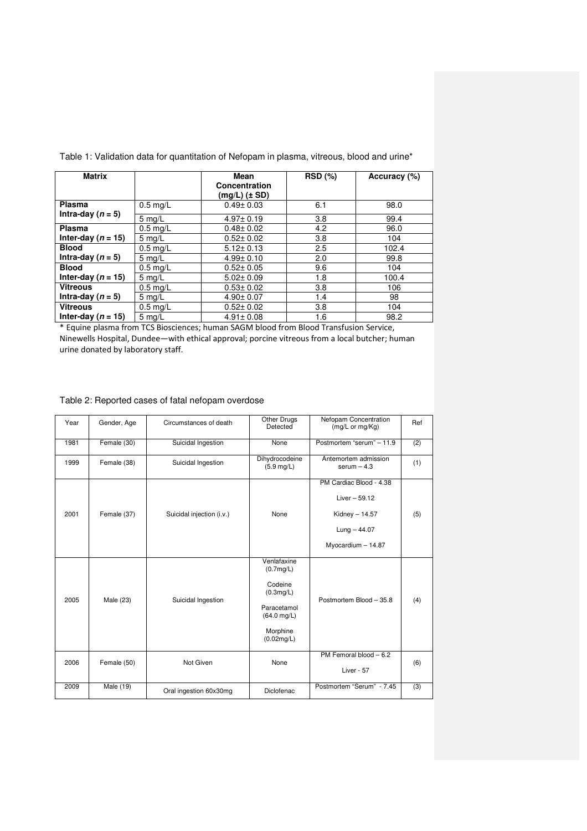| <b>Matrix</b>          |                  | Mean<br>Concentration<br>(mg/L) (± SD) | <b>RSD</b> (%) | Accuracy (%) |
|------------------------|------------------|----------------------------------------|----------------|--------------|
| Plasma                 | $0.5$ mg/L       | $0.49 \pm 0.03$                        | 6.1            | 98.0         |
| Intra-day ( $n = 5$ )  | $5 \text{ mg/L}$ | $4.97 \pm 0.19$                        | 3.8            | 99.4         |
| <b>Plasma</b>          | $0.5$ mg/L       | $0.48 \pm 0.02$                        | 4.2            | 96.0         |
| Inter-day ( $n = 15$ ) | $5 \text{ mg/L}$ | $0.52 \pm 0.02$                        | 3.8            | 104          |
| <b>Blood</b>           | $0.5$ mg/L       | $5.12 \pm 0.13$                        | 2.5            | 102.4        |
| Intra-day ( $n = 5$ )  | $5$ mg/L         | $4.99 \pm 0.10$                        | 2.0            | 99.8         |
| <b>Blood</b>           | $0.5$ mg/L       | $0.52 \pm 0.05$                        | 9.6            | 104          |
| Inter-day ( $n = 15$ ) | $5 \text{ mg/L}$ | $5.02 \pm 0.09$                        | 1.8            | 100.4        |
| <b>Vitreous</b>        | $0.5$ mg/L       | $0.53 \pm 0.02$                        | 3.8            | 106          |
| Intra-day ( $n = 5$ )  | $5 \text{ mg/L}$ | $4.90 \pm 0.07$                        | 1.4            | 98           |
| <b>Vitreous</b>        | $0.5$ mg/L       | $0.52 \pm 0.02$                        | 3.8            | 104          |
| Inter-day ( $n = 15$ ) | $5 \text{ mg/L}$ | $4.91 \pm 0.08$                        | 1.6            | 98.2         |

Table 1: Validation data for quantitation of Nefopam in plasma, vitreous, blood and urine\*

\* Equine plasma from TCS Biosciences; human SAGM blood from Blood Transfusion Service, Ninewells Hospital, Dundee—with ethical approval; porcine vitreous from a local butcher; human urine donated by laboratory staff.

## Table 2: Reported cases of fatal nefopam overdose

| Year | Gender, Age | Circumstances of death    | Other Drugs<br>Detected                                                                                            | Nefopam Concentration<br>$(mg/L \text{ or } mg/Kg)$                                                   | Ref |
|------|-------------|---------------------------|--------------------------------------------------------------------------------------------------------------------|-------------------------------------------------------------------------------------------------------|-----|
| 1981 | Female (30) | Suicidal Ingestion        | None                                                                                                               | Postmortem "serum" - 11.9                                                                             | (2) |
| 1999 | Female (38) | Suicidal Ingestion        | Dihydrocodeine<br>$(5.9 \, \text{mq/L})$                                                                           | Antemortem admission<br>serum $-4.3$                                                                  | (1) |
| 2001 | Female (37) | Suicidal injection (i.v.) | None                                                                                                               | PM Cardiac Blood - 4.38<br>Liver $-59.12$<br>Kidney $- 14.57$<br>$Lung - 44.07$<br>Myocardium - 14.87 | (5) |
| 2005 | Male (23)   | Suicidal Ingestion        | Venlafaxine<br>(0.7mg/L)<br>Codeine<br>(0.3mg/L)<br>Paracetamol<br>$(64.0 \text{ mg/L})$<br>Morphine<br>(0.02mg/L) | Postmortem Blood - 35.8                                                                               | (4) |
| 2006 | Female (50) | Not Given                 | None                                                                                                               | PM Femoral blood $-6.2$<br>Liver - 57                                                                 | (6) |
| 2009 | Male (19)   | Oral ingestion 60x30mg    | Diclofenac                                                                                                         | Postmortem "Serum" - 7.45                                                                             | (3) |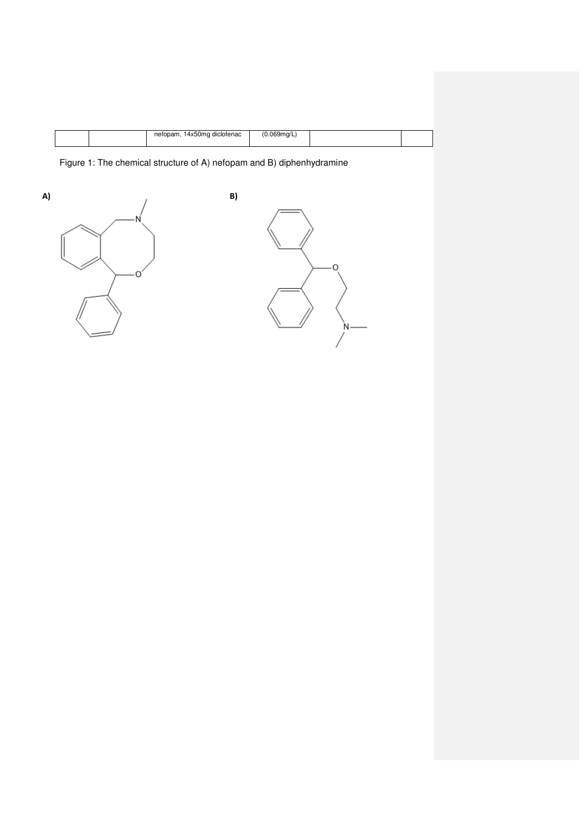|  | nefor<br>14x50ma diclofenac | $\cdots$<br>:umn |  |
|--|-----------------------------|------------------|--|
|  |                             |                  |  |

Figure 1: The chemical structure of A) nefopam and B) diphenhydramine